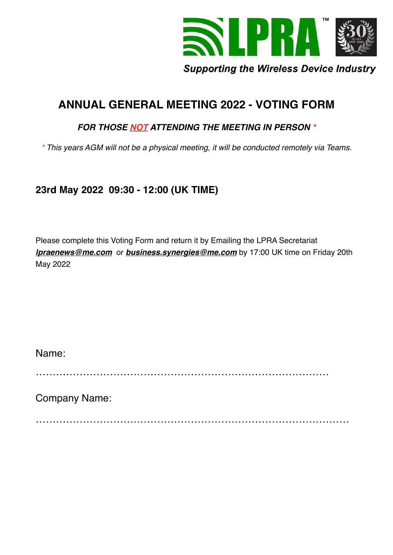

# **ANNUAL GENERAL MEETING 2022 - VOTING FORM**

# *FOR THOSE NOT ATTENDING THE MEETING IN PERSON \**

*\* This years AGM will not be a physical meeting, it will be conducted remotely via Teams.*

# **23rd May 2022 09:30 - 12:00 (UK TIME)**

Please complete this Voting Form and return it by Emailing the LPRA Secretariat *[lpraenews@me.com](mailto:lpraenews@me.com)* or *[business.synergies@me.com](mailto:business.synergies@me.com)* by 17:00 UK time on Friday 20th May 2022

Name:

……………………………………………………………………………

Company Name:

 $\mathcal{L}^{\text{max}}$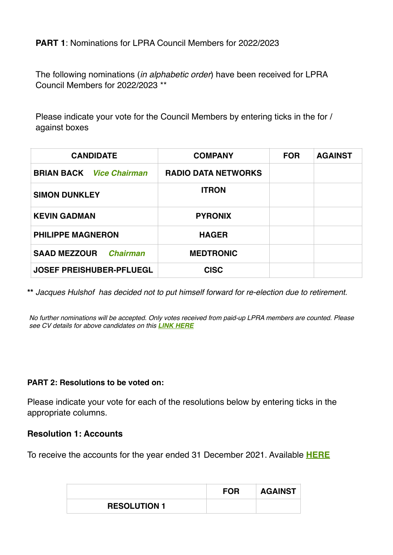# **PART 1**: Nominations for LPRA Council Members for 2022/2023

The following nominations (*in alphabetic order*) have been received for LPRA Council Members for 2022/2023 \*\*

Please indicate your vote for the Council Members by entering ticks in the for / against boxes

| <b>CANDIDATE</b>                       | <b>COMPANY</b>             | <b>FOR</b> | <b>AGAINST</b> |
|----------------------------------------|----------------------------|------------|----------------|
| <b>BRIAN BACK</b> <i>Vice Chairman</i> | <b>RADIO DATA NETWORKS</b> |            |                |
| <b>SIMON DUNKLEY</b>                   | <b>ITRON</b>               |            |                |
| <b>KEVIN GADMAN</b>                    | <b>PYRONIX</b>             |            |                |
| <b>PHILIPPE MAGNERON</b>               | <b>HAGER</b>               |            |                |
| <b>SAAD MEZZOUR</b><br><b>Chairman</b> | <b>MEDTRONIC</b>           |            |                |
| <b>JOSEF PREISHUBER-PFLUEGL</b>        | <b>CISC</b>                |            |                |

**\*\*** *Jacques Hulshof has decided not to put himself forward for re-election due to retirement.*

*No further nominations will be accepted. Only votes received from paid-up LPRA members are counted. Please see CV details for above candidates on this [LINK HERE](http://lpra.org/about-us/council-members/)*

#### **PART 2: Resolutions to be voted on:**

Please indicate your vote for each of the resolutions below by entering ticks in the appropriate columns.

#### **Resolution 1: Accounts**

To receive the accounts for the year ended 31 December 2021. Available **[HERE](http://lpra.org/assets/members-files/LPRA-full-acc-2.pdf)**

|                     | <b>FOR</b> | <b>AGAINST</b> |
|---------------------|------------|----------------|
| <b>RESOLUTION 1</b> |            |                |